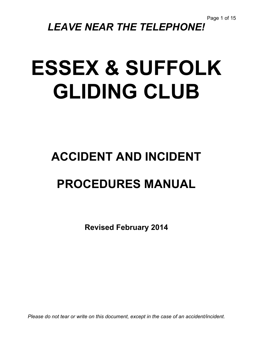# *LEAVE NEAR THE TELEPHONE!*

# **ESSEX & SUFFOLK GLIDING CLUB**

# **ACCIDENT AND INCIDENT**

# **PROCEDURES MANUAL**

**Revised February 2014**

*Please do not tear or write on this document, except in the case of an accident/incident.*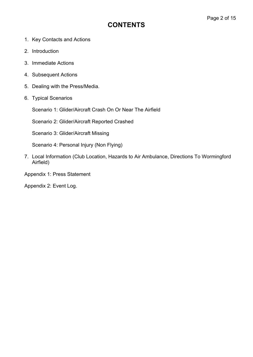# **CONTENTS**

- 1. Key Contacts and Actions
- 2. Introduction
- 3. Immediate Actions
- 4. Subsequent Actions
- 5. Dealing with the Press/Media.
- 6. Typical Scenarios

Scenario 1: Glider/Aircraft Crash On Or Near The Airfield

Scenario 2: Glider/Aircraft Reported Crashed

Scenario 3: Glider/Aircraft Missing

Scenario 4: Personal Injury (Non Flying)

- 7. Local Information (Club Location, Hazards to Air Ambulance, Directions To Wormingford Airfield)
- Appendix 1: Press Statement

Appendix 2: Event Log.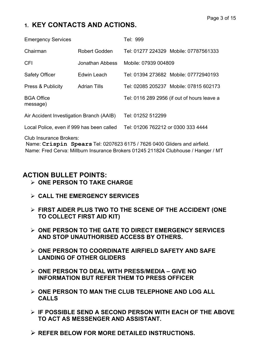# **1. KEY CONTACTS AND ACTIONS.**

| <b>Emergency Services</b>                 |                     | Tel: 999                           |                                             |  |
|-------------------------------------------|---------------------|------------------------------------|---------------------------------------------|--|
| Chairman                                  | Robert Godden       |                                    | Tel: 01277 224329 Mobile: 07787561333       |  |
| <b>CFI</b>                                | Jonathan Abbess     | Mobile: 07939 004809               |                                             |  |
| <b>Safety Officer</b>                     | Edwin Leach         |                                    | Tel: 01394 273682 Mobile: 07772940193       |  |
| <b>Press &amp; Publicity</b>              | <b>Adrian Tills</b> |                                    | Tel: 02085 205237 Mobile: 07815 602173      |  |
| <b>BGA Office</b><br>message)             |                     |                                    | Tel: 0116 289 2956 (if out of hours leave a |  |
| Air Accident Investigation Branch (AAIB)  |                     | Tel: 01252 512299                  |                                             |  |
| Local Police, even if 999 has been called |                     | Tel: 01206 762212 or 0300 333 4444 |                                             |  |

Club Insurance Brokers:

Name: **Crispin Spears** Tel: 0207623 6175 / 7626 0400 Gliders and airfield. Name: Fred Cerva: Millburn Insurance Brokers 01245 211824 Clubhouse / Hanger / MT

# **ACTION BULLET POINTS:**

- Ø **ONE PERSON TO TAKE CHARGE**
- Ø **CALL THE EMERGENCY SERVICES**
- Ø **FIRST AIDER PLUS TWO TO THE SCENE OF THE ACCIDENT (ONE TO COLLECT FIRST AID KIT)**
- Ø **ONE PERSON TO THE GATE TO DIRECT EMERGENCY SERVICES AND STOP UNAUTHORISED ACCESS BY OTHERS.**
- Ø **ONE PERSON TO COORDINATE AIRFIELD SAFETY AND SAFE LANDING OF OTHER GLIDERS**
- Ø **ONE PERSON TO DEAL WITH PRESS/MEDIA – GIVE NO INFORMATION BUT REFER THEM TO PRESS OFFICER**
- Ø **ONE PERSON TO MAN THE CLUB TELEPHONE AND LOG ALL CALLS**
- Ø **IF POSSIBLE SEND A SECOND PERSON WITH EACH OF THE ABOVE TO ACT AS MESSENGER AND ASSISTANT.**
- Ø **REFER BELOW FOR MORE DETAILED INSTRUCTIONS.**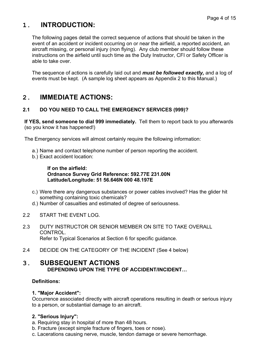# **1. INTRODUCTION:**

The following pages detail the correct sequence of actions that should be taken in the event of an accident or incident occurring on or near the airfield, a reported accident, an aircraft missing, or personal injury (non flying). Any club member should follow these instructions on the airfield until such time as the Duty Instructor, CFI or Safety Officer is able to take over.

The sequence of actions is carefully laid out and *must be followed exactly,* and a log of events must be kept. (A sample log sheet appears as Appendix 2 to this Manual.)

### **2. IMMEDIATE ACTIONS:**

#### **2.1 DO YOU NEED TO CALL THE EMERGENCY SERVICES (999)?**

**If YES, send someone to dial 999 immediately.** Tell them to report back to you afterwards (so you know it has happened!)

The Emergency services will almost certainly require the following information:

- a.) Name and contact telephone number of person reporting the accident.
- b.) Exact accident location:

#### **If on the airfield: Ordnance Survey Grid Reference: 592.77E 231.00N Latitude/Longitude: 51 56.646N 000 48.197E**

- c.) Were there any dangerous substances or power cables involved? Has the glider hit something containing toxic chemicals?
- d.) Number of casualties and estimated of degree of seriousness.
- 2.2 START THE EVENT LOG.
- 2.3 DUTY INSTRUCTOR OR SENIOR MEMBER ON SITE TO TAKE OVERALL CONTROL. Refer to Typical Scenarios at Section 6 for specific guidance.
- 2.4 DECIDE ON THE CATEGORY OF THE INCIDENT (See 4 below)

#### **3. SUBSEQUENT ACTIONS DEPENDING UPON THE TYPE OF ACCIDENT/INCIDENT…**

#### **Definitions:**

#### **1. "Major Accident":**

Occurrence associated directly with aircraft operations resulting in death or serious injury to a person, or substantial damage to an aircraft.

#### **2. "Serious Injury":**

- a. Requiring stay in hospital of more than 48 hours.
- b. Fracture (except simple fracture of fingers, toes or nose).
- c. Lacerations causing nerve, muscle, tendon damage or severe hemorrhage.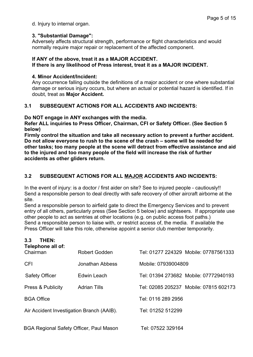d. Injury to internal organ.

#### **3. "Substantial Damage":**

Adversely affects structural strength, performance or flight characteristics and would normally require major repair or replacement of the affected component.

#### **If ANY of the above, treat it as a MAJOR ACCIDENT.**

#### **If there is any likelihood of Press interest, treat it as a MAJOR INCIDENT.**

#### **4. Minor Accident/Incident:**

Any occurrence falling outside the definitions of a major accident or one where substantial damage or serious injury occurs, but where an actual or potential hazard is identified. If in doubt, treat as **Major Accident.**

#### **3.1 SUBSEQUENT ACTIONS FOR ALL ACCIDENTS AND INCIDENTS:**

#### **Do NOT engage in ANY exchanges with the media.**

**Refer ALL inquiries to Press Officer, Chairman, CFI or Safety Officer. (See Section 5 below)**

**Firmly control the situation and take all necessary action to prevent a further accident. Do not allow everyone to rush to the scene of the crash – some will be needed for other tasks; too many people at the scene will detract from effective assistance and aid to the injured and too many people of the field will increase the risk of further accidents as other gliders return.**

#### **3.2 SUBSEQUENT ACTIONS FOR ALL MAJOR ACCIDENTS AND INCIDENTS:**

In the event of injury: is a doctor / first aider on site? See to injured people - cautiously!! Send a responsible person to deal directly with safe recovery of other aircraft airborne at the site.

Send a responsible person to airfield gate to direct the Emergency Services and to prevent entry of all others, particularly press (See Section 5 below) and sightseers. If appropriate use other people to act as sentries at other locations (e.g. on public access foot paths.) Send a responsible person to liaise with, or restrict access of, the media. If available the Press Officer will take this role, otherwise appoint a senior club member temporarily.

|                   | THEN:<br>3.3<br>Telephone all of:              |                      |                     |                                        |  |
|-------------------|------------------------------------------------|----------------------|---------------------|----------------------------------------|--|
|                   | Chairman                                       | <b>Robert Godden</b> |                     | Tel: 01277 224329 Mobile: 07787561333  |  |
|                   | <b>CFI</b>                                     | Jonathan Abbess      | Mobile: 07939004809 |                                        |  |
|                   | <b>Safety Officer</b>                          | Edwin Leach          |                     | Tel: 01394 273682 Mobile: 07772940193  |  |
|                   | <b>Press &amp; Publicity</b>                   | <b>Adrian Tills</b>  |                     | Tel: 02085 205237 Mobile: 07815 602173 |  |
| <b>BGA Office</b> |                                                |                      | Tel: 0116 289 2956  |                                        |  |
|                   | Air Accident Investigation Branch (AAIB).      |                      | Tel: 01252 512299   |                                        |  |
|                   |                                                |                      |                     |                                        |  |
|                   | <b>BGA Regional Safety Officer, Paul Mason</b> |                      | Tel: 07522 329164   |                                        |  |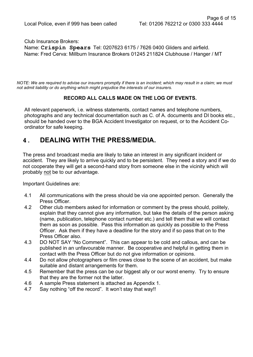Club Insurance Brokers:

Name: **Crispin Spears** Tel: 0207623 6175 / 7626 0400 Gliders and airfield. Name: Fred Cerva: Millburn Insurance Brokers 01245 211824 Clubhouse / Hanger / MT

*NOTE: We are required to advise our insurers promptly if there is an incident; which may result in a claim; we must not admit liability or do anything which might prejudice the interests of our insurers.*

#### **RECORD ALL CALLS MADE ON THE LOG OF EVENTS.**

All relevant paperwork, i.e. witness statements, contact names and telephone numbers, photographs and any technical documentation such as C. of A. documents and DI books etc., should be handed over to the BGA Accident Investigator on request, or to the Accident Coordinator for safe keeping.

### **4. DEALING WITH THE PRESS/MEDIA.**

The press and broadcast media are likely to take an interest in any significant incident or accident. They are likely to arrive quickly and to be persistent. They need a story and if we do not cooperate they will get a second-hand story from someone else in the vicinity which will probably not be to our advantage.

Important Guidelines are:

- 4.1 All communications with the press should be via one appointed person. Generally the Press Officer.
- 4.2 Other club members asked for information or comment by the press should, politely, explain that they cannot give any information, but take the details of the person asking (name, publication, telephone contact number etc.) and tell them that we will contact them as soon as possible. Pass this information as quickly as possible to the Press Officer. Ask them if they have a deadline for the story and if so pass that on to the Press Officer also.
- 4.3 DO NOT SAY "No Comment". This can appear to be cold and callous, and can be published in an unfavourable manner. Be cooperative and helpful in getting them in contact with the Press Officer but do not give information or opinions.
- 4.4 Do not allow photographers or film crews close to the scene of an accident, but make suitable and distant arrangements for them.
- 4.5 Remember that the press can be our biggest ally or our worst enemy. Try to ensure that they are the former not the latter.
- 4.6 A sample Press statement is attached as Appendix 1.
- 4.7 Say nothing "off the record". It won't stay that way!!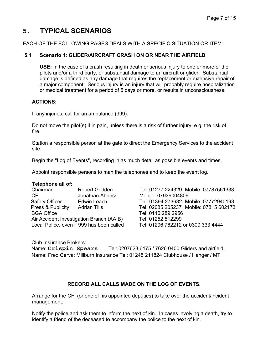# **5. TYPICAL SCENARIOS**

EACH OF THE FOLLOWING PAGES DEALS WITH A SPECIFIC SITUATION OR ITEM:

#### **5.1 Scenario 1: GLIDER/AIRCRAFT CRASH ON OR NEAR THE AIRFIELD**

**USE:** In the case of a crash resulting in death or serious injury to one or more of the pilots and/or a third party, or substantial damage to an aircraft or glider. Substantial damage is defined as any damage that requires the replacement or extensive repair of a major component. Serious injury is an injury that will probably require hospitalization or medical treatment for a period of 5 days or more, or results in unconsciousness.

#### **ACTIONS:**

If any injuries: call for an ambulance (999).

Do not move the pilot(s) if in pain, unless there is a risk of further injury, e.g. the risk of fire.

Station a responsible person at the gate to direct the Emergency Services to the accident site.

Begin the "Log of Events", recording in as much detail as possible events and times.

Appoint responsible persons to man the telephones and to keep the event log.

#### **Telephone all of:**

 CFI Jonathan Abbess Mobile: 07939004809 BGA Office Tel: 0116 289 2956 Air Accident Investigation Branch (AAIB) Tel: 01252 512299 Local Police, even if 999 has been called Tel: 01206 762212 or 0300 333 4444

 Chairman Robert Godden Tel: 01277 224329 Mobile: 07787561333 Safety Officer Edwin Leach Tel: 01394 273682 Mobile: 07772940193 Press & Publicity Adrian Tills Tel: 02085 205237 Mobile: 07815 602173

Club Insurance Brokers:

 Name: **Crispin Spears** Tel: 0207623 6175 / 7626 0400 Gliders and airfield. Name: Fred Cerva: Millburn Insurance Tel: 01245 211824 Clubhouse / Hanger / MT

#### **RECORD ALL CALLS MADE ON THE LOG OF EVENTS.**

Arrange for the CFI (or one of his appointed deputies) to take over the accident/incident management.

Notify the police and ask them to inform the next of kin. In cases involving a death, try to identify a friend of the deceased to accompany the police to the next of kin.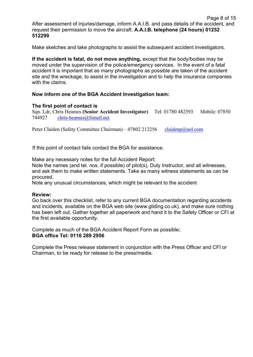Page 8 of 15 After assessment of injuries/damage, inform A.A.I.B. and pass details of the accident, and request their permission to move the aircraft. **A.A.I.B. telephone (24 hours) 01252 512299**

Make sketches and take photographs to assist the subsequent accident investigators.

**If the accident is fatal, do not move anything,** except that the body/bodies may be moved under the supervision of the police/emergency services. In the event of a fatal accident it is important that as many photographs as possible are taken of the accident site and the wreckage, to assist in the investigation and to help the insurance companies with the claims.

#### **Now inform one of the BGA Accident Investigation team:**

#### **The first point of contact is**

Sqn. Ldr, Chris Heames **(Senior Accident Investigator)** Tel: 01780 482593 Mobile: 07850 744927 chris-heames@fsmail.net

Peter Claiden (Safety Committee Chairman) – 07802 212256 claidenp@aol.com

If this point of contact fails contact the BGA for assistance.

Make any necessary notes for the full Accident Report:

Note the names (and tel. nos. if possible) of pilot(s), Duty Instructor, and all witnesses, and ask them to make written statements. Take as many witness statements as can be procured.

Note any unusual circumstances, which might be relevant to the accident

#### **Review:**

Go back over this checklist, refer to any current BGA documentation regarding accidents and incidents, available on the BGA web site (www.gliding.co.uk), and make sure nothing has been left out. Gather together all paperwork and hand it to the Safety Officer or CFI at the first available opportunity.

Complete as much of the BGA Accident Report Form as possible; **BGA office Tel: 0116 289 2956**

Complete the Press release statement in conjunction with the Press Officer and CFI or Chairman, to be ready for release to the press/media.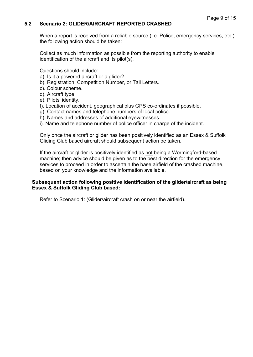#### **5.2 Scenario 2: GLIDER/AIRCRAFT REPORTED CRASHED**

When a report is received from a reliable source (i.e. Police, emergency services, etc.) the following action should be taken:

Collect as much information as possible from the reporting authority to enable identification of the aircraft and its pilot(s).

Questions should include:

- a). Is it a powered aircraft or a glider?
- b). Registration, Competition Number, or Tail Letters.
- c). Colour scheme.
- d). Aircraft type.
- e). Pilots' identity.
- f). Location of accident, geographical plus GPS co-ordinates if possible.
- g). Contact names and telephone numbers of local police.
- h). Names and addresses of additional eyewitnesses.
- i). Name and telephone number of police officer in charge of the incident.

Only once the aircraft or glider has been positively identified as an Essex & Suffolk Gliding Club based aircraft should subsequent action be taken.

If the aircraft or glider is positively identified as not being a Wormingford-based machine; then advice should be given as to the best direction for the emergency services to proceed in order to ascertain the base airfield of the crashed machine, based on your knowledge and the information available.

#### **Subsequent action following positive identification of the glider/aircraft as being Essex & Suffolk Gliding Club based:**

Refer to Scenario 1: (Glider/aircraft crash on or near the airfield).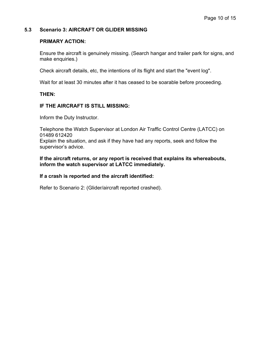#### **5.3 Scenario 3: AIRCRAFT OR GLIDER MISSING**

#### **PRIMARY ACTION:**

Ensure the aircraft is genuinely missing. (Search hangar and trailer park for signs, and make enquiries.)

Check aircraft details, etc, the intentions of its flight and start the "event log".

Wait for at least 30 minutes after it has ceased to be soarable before proceeding.

#### **THEN:**

#### **IF THE AIRCRAFT IS STILL MISSING:**

Inform the Duty Instructor.

Telephone the Watch Supervisor at London Air Traffic Control Centre (LATCC) on 01489 612420

Explain the situation, and ask if they have had any reports, seek and follow the supervisor's advice.

**If the aircraft returns, or any report is received that explains its whereabouts, inform the watch supervisor at LATCC immediately.**

#### **If a crash is reported and the aircraft identified:**

Refer to Scenario 2: (Glider/aircraft reported crashed).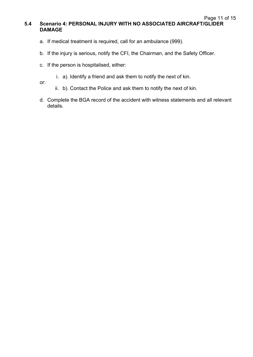- a. If medical treatment is required, call for an ambulance (999).
- b. If the injury is serious, notify the CFI, the Chairman, and the Safety Officer.
- c. If the person is hospitalised, either:
	- i. a). Identify a friend and ask them to notify the next of kin.

or:

- ii. b). Contact the Police and ask them to notify the next of kin.
- d. Complete the BGA record of the accident with witness statements and all relevant details.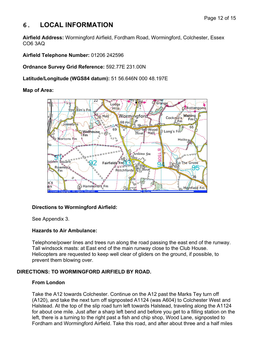### **6. LOCAL INFORMATION**

**Airfield Address:** Wormingford Airfield, Fordham Road, Wormingford, Colchester, Essex CO6 3AQ

**Airfield Telephone Number:** 01206 242596

**Ordnance Survey Grid Reference:** 592.77E 231.00N

**Latitude/Longitude (WGS84 datum):** 51 56.646N 000 48.197E

#### **Map of Area:**



#### **Directions to Wormingford Airfield:**

See Appendix 3.

#### **Hazards to Air Ambulance:**

Telephone/power lines and trees run along the road passing the east end of the runway. Tall windsock masts: at East end of the main runway close to the Club House. Helicopters are requested to keep well clear of gliders on the ground, if possible, to prevent them blowing over.

#### **DIRECTIONS: TO WORMINGFORD AIRFIELD BY ROAD.**

#### **From London**

Take the A12 towards Colchester. Continue on the A12 past the Marks Tey turn off (A120), and take the next turn off signposted A1124 (was A604) to Colchester West and Halstead. At the top of the slip road turn left towards Halstead, traveling along the A1124 for about one mile. Just after a sharp left bend and before you get to a filling station on the left, there is a turning to the right past a fish and chip shop, Wood Lane, signposted to Fordham and Wormingford Airfield. Take this road, and after about three and a half miles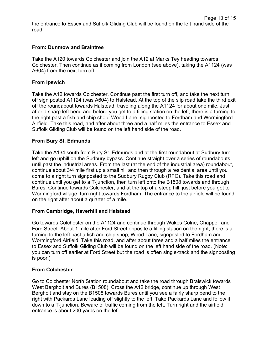#### **From: Dunmow and Braintree**

Take the A120 towards Colchester and join the A12 at Marks Tey heading towards Colchester. Then continue as if coming from London (see above), taking the A1124 (was A604) from the next turn off.

#### **From Ipswich**

Take the A12 towards Colchester. Continue past the first turn off, and take the next turn off sign posted A1124 (was A604) to Halstead. At the top of the slip road take the third exit off the roundabout towards Halstead, traveling along the A1124 for about one mile. Just after a sharp left bend and before you get to a filling station on the left, there is a turning to the right past a fish and chip shop, Wood Lane, signposted to Fordham and Wormingford Airfield. Take this road, and after about three and a half miles the entrance to Essex and Suffolk Gliding Club will be found on the left hand side of the road.

#### **From Bury St. Edmunds**

Take the A134 south from Bury St. Edmunds and at the first roundabout at Sudbury turn left and go uphill on the Sudbury bypass. Continue straight over a series of roundabouts until past the industrial areas. From the last (at the end of the industrial area) roundabout, continue about 3/4 mile first up a small hill and then through a residential area until you come to a right turn signposted to the Sudbury Rugby Club (RFC). Take this road and continue until you get to a T-junction, then turn left onto the B1508 towards and through Bures. Continue towards Colchester, and at the top of a steep hill, just before you get to Wormingford village, turn right towards Fordham. The entrance to the airfield will be found on the right after about a quarter of a mile.

#### **From Cambridge, Haverhill and Halstead**

Go towards Colchester on the A1124 and continue through Wakes Colne, Chappell and Ford Street. About 1 mile after Ford Street opposite a filling station on the right, there is a turning to the left past a fish and chip shop, Wood Lane, signposted to Fordham and Wormingford Airfield. Take this road, and after about three and a half miles the entrance to Essex and Suffolk Gliding Club will be found on the left hand side of the road. (Note: you can turn off earlier at Ford Street but the road is often single-track and the signposting is poor.)

#### **From Colchester**

Go to Colchester North Station roundabout and take the road through Braiswick towards West Bergholt and Bures (B1508). Cross the A12 bridge, continue up through West Bergholt and stay on the B1508 towards Bures until you see a fairly sharp bend to the right with Packards Lane leading off slightly to the left. Take Packards Lane and follow it down to a T-junction. Beware of traffic coming from the left. Turn right and the airfield entrance is about 200 yards on the left.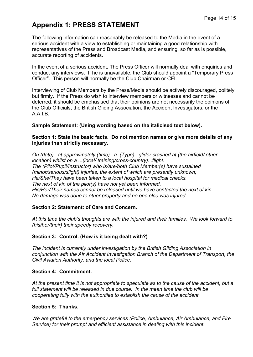# **Appendix 1: PRESS STATEMENT**

The following information can reasonably be released to the Media in the event of a serious accident with a view to establishing or maintaining a good relationship with representatives of the Press and Broadcast Media, and ensuring, so far as is possible, accurate reporting of accidents.

In the event of a serious accident, The Press Officer will normally deal with enquiries and conduct any interviews. If he is unavailable, the Club should appoint a "Temporary Press Officer". This person will normally be the Club Chairman or CFI.

Interviewing of Club Members by the Press/Media should be actively discouraged, politely but firmly. If the Press do wish to interview members or witnesses and cannot be deterred, it should be emphasised that their opinions are not necessarily the opinions of the Club Officials, the British Gliding Association, the Accident Investigators, or the A.A.I.B.

#### **Sample Statement: (Using wording based on the italicised text below).**

#### **Section 1: State the basic facts. Do not mention names or give more details of any injuries than strictly necessary.**

*On (date)...at approximately (time)...a. (Type)...glider crashed at (the airfield/ other location) whilst on a ...(local/ training/cross-country)...flight. The (Pilot/Pupil/Instructor) who is/are/both Club Member(s) have sustained (minor/serious/slight) injuries, the extent of which are presently unknown; He/She/They have been taken to a local hospital for medical checks. The next of kin of the pilot(s) have not yet been informed. His/Her/Their names cannot be released until we have contacted the next of kin. No damage was done to other property and no one else was injured.*

#### **Section 2: Statement: of Care and Concern.**

*At this time the club's thoughts are with the injured and their families. We look forward to (his/her/their) their speedy recovery.*

#### **Section 3: Control. (How is it being dealt with?)**

*The incident is currently under investigation by the British Gliding Association in conjunction with the Air Accident Investigation Branch of the Department of Transport, the Civil Aviation Authority, and the local Police.*

#### **Section 4: Commitment.**

*At the present time it is not appropriate to speculate as to the cause of the accident, but a full statement will be released in due course. In the mean time the club will be cooperating fully with the authorities to establish the cause of the accident.*

#### **Section 5: Thanks.**

*We are grateful to the emergency services (Police, Ambulance, Air Ambulance, and Fire Service) for their prompt and efficient assistance in dealing with this incident.*